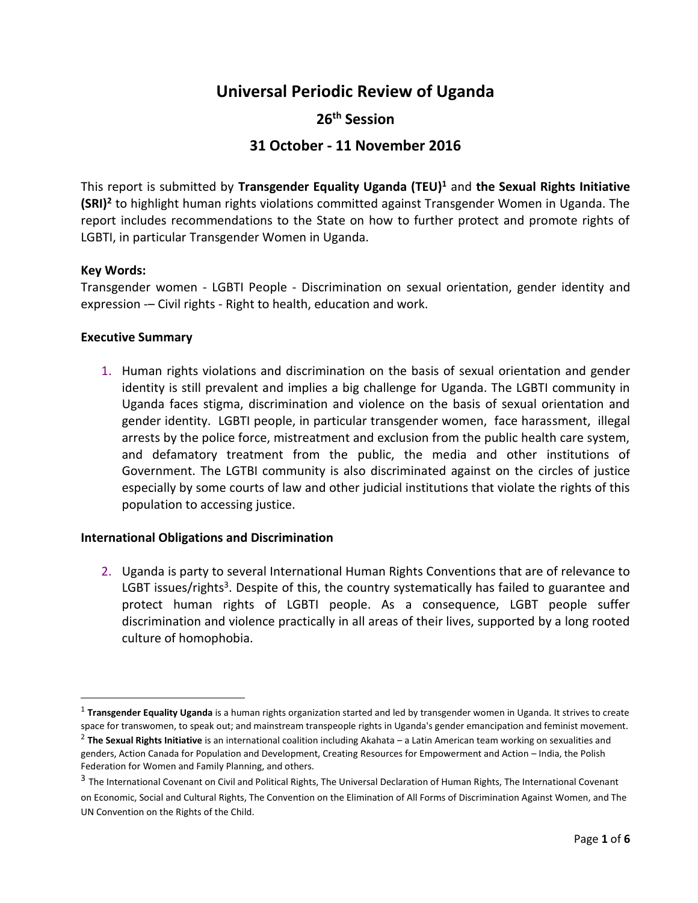# **Universal Periodic Review of Uganda**

## **26th Session**

# **31 October - 11 November 2016**

This report is submitted by **Transgender Equality Uganda (TEU)<sup>1</sup>** and **the Sexual Rights Initiative (SRI)<sup>2</sup>** to highlight human rights violations committed against Transgender Women in Uganda. The report includes recommendations to the State on how to further protect and promote rights of LGBTI, in particular Transgender Women in Uganda.

## **Key Words:**

 $\overline{\phantom{a}}$ 

Transgender women - LGBTI People - Discrimination on sexual orientation, gender identity and expression -– Civil rights - Right to health, education and work.

## **Executive Summary**

1. Human rights violations and discrimination on the basis of sexual orientation and gender identity is still prevalent and implies a big challenge for Uganda. The LGBTI community in Uganda faces stigma, discrimination and violence on the basis of sexual orientation and gender identity. LGBTI people, in particular transgender women, face harassment, illegal arrests by the police force, mistreatment and exclusion from the public health care system, and defamatory treatment from the public, the media and other institutions of Government. The LGTBI community is also discriminated against on the circles of justice especially by some courts of law and other judicial institutions that violate the rights of this population to accessing justice.

### **International Obligations and Discrimination**

2. Uganda is party to several International Human Rights Conventions that are of relevance to LGBT issues/rights<sup>3</sup>. Despite of this, the country systematically has failed to guarantee and protect human rights of LGBTI people. As a consequence, LGBT people suffer discrimination and violence practically in all areas of their lives, supported by a long rooted culture of homophobia.

on Economic, Social and Cultural Rights, The Convention on the Elimination of All Forms of Discrimination Against Women, and The UN Convention on the Rights of the Child.

<sup>&</sup>lt;sup>1</sup> Transgender Equality Uganda is a human rights organization started and led by transgender women in Uganda. It strives to create space for transwomen, to speak out; and mainstream transpeople rights in Uganda's gender emancipation and feminist movement.

<sup>2</sup> **The Sexual Rights Initiative** is an international coalition including Akahata – a Latin American team working on sexualities and genders, Action Canada for Population and Development, Creating Resources for Empowerment and Action – India, the Polish Federation for Women and Family Planning, and others.

<sup>&</sup>lt;sup>3</sup> The International Covenant on Civil and Political Rights, The Universal Declaration of Human Rights, The International Covenant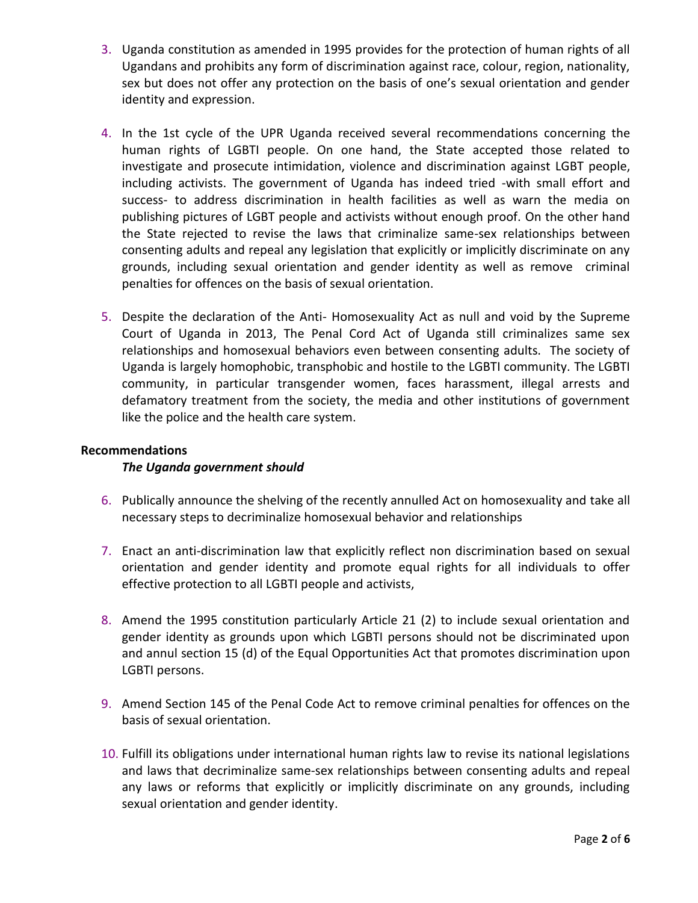- 3. Uganda constitution as amended in 1995 provides for the protection of human rights of all Ugandans and prohibits any form of discrimination against race, colour, region, nationality, sex but does not offer any protection on the basis of one's sexual orientation and gender identity and expression.
- 4. In the 1st cycle of the UPR Uganda received several recommendations concerning the human rights of LGBTI people. On one hand, the State accepted those related to investigate and prosecute intimidation, violence and discrimination against LGBT people, including activists. The government of Uganda has indeed tried -with small effort and success- to address discrimination in health facilities as well as warn the media on publishing pictures of LGBT people and activists without enough proof. On the other hand the State rejected to revise the laws that criminalize same-sex relationships between consenting adults and repeal any legislation that explicitly or implicitly discriminate on any grounds, including sexual orientation and gender identity as well as remove criminal penalties for offences on the basis of sexual orientation.
- 5. Despite the declaration of the Anti- Homosexuality Act as null and void by the Supreme Court of Uganda in 2013, The Penal Cord Act of Uganda still criminalizes same sex relationships and homosexual behaviors even between consenting adults. The society of Uganda is largely homophobic, transphobic and hostile to the LGBTI community. The LGBTI community, in particular transgender women, faces harassment, illegal arrests and defamatory treatment from the society, the media and other institutions of government like the police and the health care system.

## **Recommendations**

## *The Uganda government should*

- 6. Publically announce the shelving of the recently annulled Act on homosexuality and take all necessary steps to decriminalize homosexual behavior and relationships
- 7. Enact an anti-discrimination law that explicitly reflect non discrimination based on sexual orientation and gender identity and promote equal rights for all individuals to offer effective protection to all LGBTI people and activists,
- 8. Amend the 1995 constitution particularly Article 21 (2) to include sexual orientation and gender identity as grounds upon which LGBTI persons should not be discriminated upon and annul section 15 (d) of the Equal Opportunities Act that promotes discrimination upon LGBTI persons.
- 9. Amend Section 145 of the Penal Code Act to remove criminal penalties for offences on the basis of sexual orientation.
- 10. Fulfill its obligations under international human rights law to revise its national legislations and laws that decriminalize same-sex relationships between consenting adults and repeal any laws or reforms that explicitly or implicitly discriminate on any grounds, including sexual orientation and gender identity.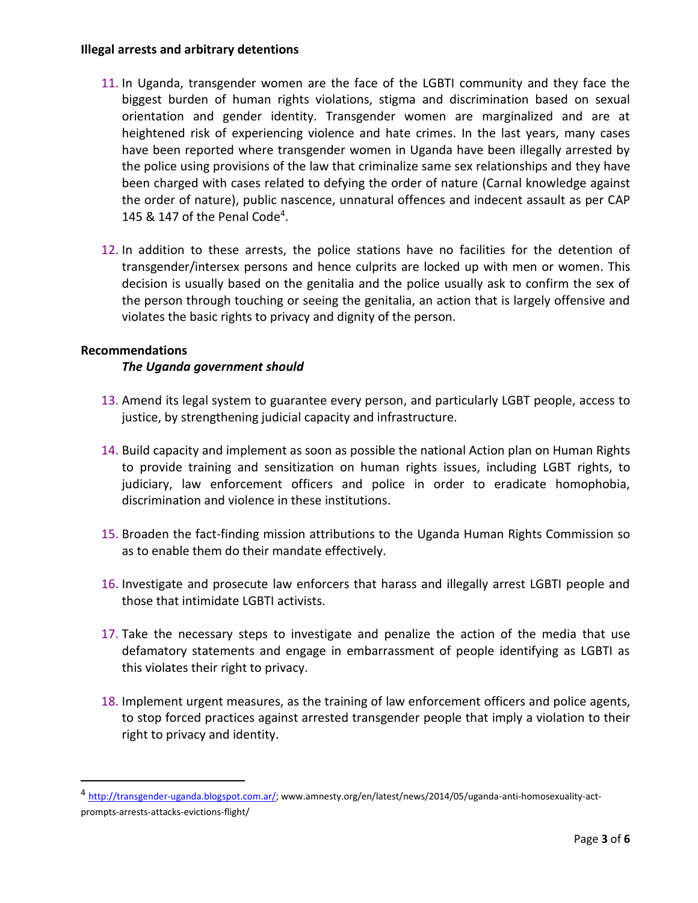## **Illegal arrests and arbitrary detentions**

- 11. In Uganda, transgender women are the face of the LGBTI community and they face the biggest burden of human rights violations, stigma and discrimination based on sexual orientation and gender identity. Transgender women are marginalized and are at heightened risk of experiencing violence and hate crimes. In the last years, many cases have been reported where transgender women in Uganda have been illegally arrested by the police using provisions of the law that criminalize same sex relationships and they have been charged with cases related to defying the order of nature (Carnal knowledge against the order of nature), public nascence, unnatural offences and indecent assault as per CAP 145 & 147 of the Penal Code<sup>4</sup>.
- 12. In addition to these arrests, the police stations have no facilities for the detention of transgender/intersex persons and hence culprits are locked up with men or women. This decision is usually based on the genitalia and the police usually ask to confirm the sex of the person through touching or seeing the genitalia, an action that is largely offensive and violates the basic rights to privacy and dignity of the person.

## **Recommendations**

 $\overline{\phantom{a}}$ 

## *The Uganda government should*

- 13. Amend its legal system to guarantee every person, and particularly LGBT people, access to justice, by strengthening judicial capacity and infrastructure.
- 14. Build capacity and implement as soon as possible the national Action plan on Human Rights to provide training and sensitization on human rights issues, including LGBT rights, to judiciary, law enforcement officers and police in order to eradicate homophobia, discrimination and violence in these institutions.
- 15. Broaden the fact-finding mission attributions to the Uganda Human Rights Commission so as to enable them do their mandate effectively.
- 16. Investigate and prosecute law enforcers that harass and illegally arrest LGBTI people and those that intimidate LGBTI activists.
- 17. Take the necessary steps to investigate and penalize the action of the media that use defamatory statements and engage in embarrassment of people identifying as LGBTI as this violates their right to privacy.
- 18. Implement urgent measures, as the training of law enforcement officers and police agents, to stop forced practices against arrested transgender people that imply a violation to their right to privacy and identity.

<sup>&</sup>lt;sup>4</sup> [http://transgender-uganda.blogspot.com.ar/;](http://transgender-uganda.blogspot.com.ar/) www.amnesty.org/en/latest/news/2014/05/uganda-anti-homosexuality-actprompts-arrests-attacks-evictions-flight/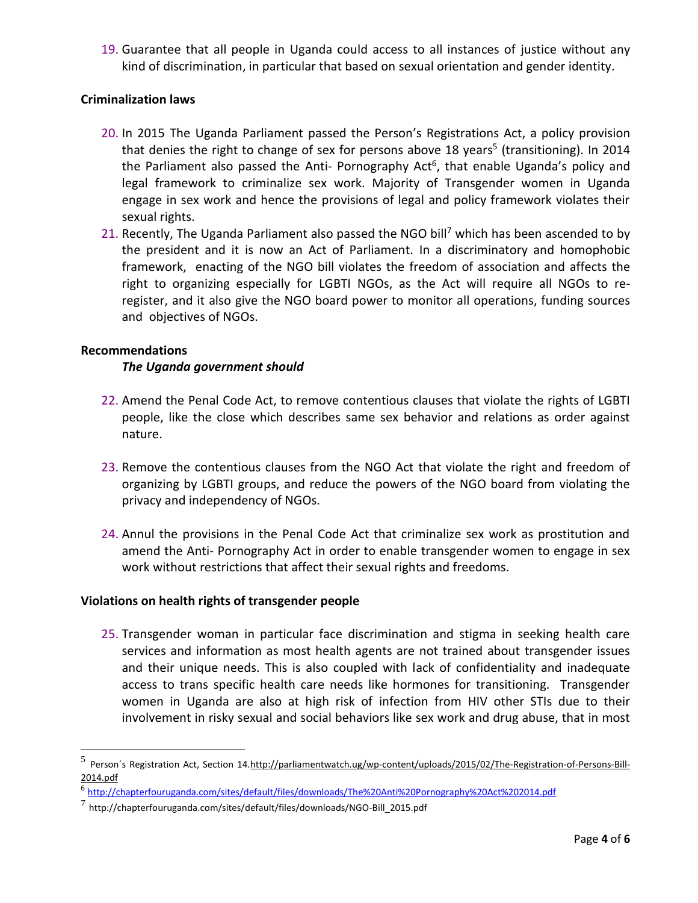19. Guarantee that all people in Uganda could access to all instances of justice without any kind of discrimination, in particular that based on sexual orientation and gender identity.

## **Criminalization laws**

- 20. In 2015 The Uganda Parliament passed the Person's Registrations Act, a policy provision that denies the right to change of sex for persons above 18 years<sup>5</sup> (transitioning). In 2014 the Parliament also passed the Anti- Pornography Act<sup>6</sup>, that enable Uganda's policy and legal framework to criminalize sex work. Majority of Transgender women in Uganda engage in sex work and hence the provisions of legal and policy framework violates their sexual rights.
- 21. Recently, The Uganda Parliament also passed the NGO bill<sup>7</sup> which has been ascended to by the president and it is now an Act of Parliament. In a discriminatory and homophobic framework, enacting of the NGO bill violates the freedom of association and affects the right to organizing especially for LGBTI NGOs, as the Act will require all NGOs to reregister, and it also give the NGO board power to monitor all operations, funding sources and objectives of NGOs.

## **Recommendations**

 $\overline{a}$ 

## *The Uganda government should*

- 22. Amend the Penal Code Act, to remove contentious clauses that violate the rights of LGBTI people, like the close which describes same sex behavior and relations as order against nature.
- 23. Remove the contentious clauses from the NGO Act that violate the right and freedom of organizing by LGBTI groups, and reduce the powers of the NGO board from violating the privacy and independency of NGOs.
- 24. Annul the provisions in the Penal Code Act that criminalize sex work as prostitution and amend the Anti- Pornography Act in order to enable transgender women to engage in sex work without restrictions that affect their sexual rights and freedoms.

## **Violations on health rights of transgender people**

25. Transgender woman in particular face discrimination and stigma in seeking health care services and information as most health agents are not trained about transgender issues and their unique needs. This is also coupled with lack of confidentiality and inadequate access to trans specific health care needs like hormones for transitioning. Transgender women in Uganda are also at high risk of infection from HIV other STIs due to their involvement in risky sexual and social behaviors like sex work and drug abuse, that in most

<sup>5&</sup>lt;br>Person´s Registration Act, Section 1[4.http://parliamentwatch.ug/wp-content/uploads/2015/02/The-Registration-of-Persons-Bill-](http://parliamentwatch.ug/wp-content/uploads/2015/02/The-Registration-of-Persons-Bill-2014.pdf)[2014.pdf](http://parliamentwatch.ug/wp-content/uploads/2015/02/The-Registration-of-Persons-Bill-2014.pdf)

<sup>6</sup> <http://chapterfouruganda.com/sites/default/files/downloads/The%20Anti%20Pornography%20Act%202014.pdf>

<sup>7</sup> http://chapterfouruganda.com/sites/default/files/downloads/NGO-Bill\_2015.pdf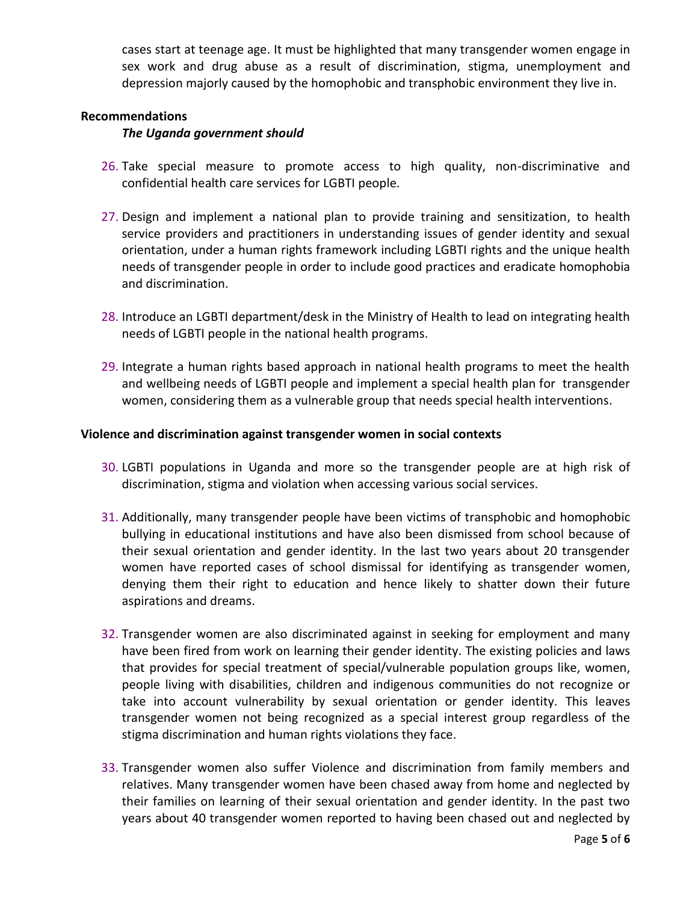cases start at teenage age. It must be highlighted that many transgender women engage in sex work and drug abuse as a result of discrimination, stigma, unemployment and depression majorly caused by the homophobic and transphobic environment they live in.

### **Recommendations**

#### *The Uganda government should*

- 26. Take special measure to promote access to high quality, non-discriminative and confidential health care services for LGBTI people.
- 27. Design and implement a national plan to provide training and sensitization, to health service providers and practitioners in understanding issues of gender identity and sexual orientation, under a human rights framework including LGBTI rights and the unique health needs of transgender people in order to include good practices and eradicate homophobia and discrimination.
- 28. Introduce an LGBTI department/desk in the Ministry of Health to lead on integrating health needs of LGBTI people in the national health programs.
- 29. Integrate a human rights based approach in national health programs to meet the health and wellbeing needs of LGBTI people and implement a special health plan for transgender women, considering them as a vulnerable group that needs special health interventions.

#### **Violence and discrimination against transgender women in social contexts**

- 30. LGBTI populations in Uganda and more so the transgender people are at high risk of discrimination, stigma and violation when accessing various social services.
- 31. Additionally, many transgender people have been victims of transphobic and homophobic bullying in educational institutions and have also been dismissed from school because of their sexual orientation and gender identity. In the last two years about 20 transgender women have reported cases of school dismissal for identifying as transgender women, denying them their right to education and hence likely to shatter down their future aspirations and dreams.
- 32. Transgender women are also discriminated against in seeking for employment and many have been fired from work on learning their gender identity. The existing policies and laws that provides for special treatment of special/vulnerable population groups like, women, people living with disabilities, children and indigenous communities do not recognize or take into account vulnerability by sexual orientation or gender identity. This leaves transgender women not being recognized as a special interest group regardless of the stigma discrimination and human rights violations they face.
- 33. Transgender women also suffer Violence and discrimination from family members and relatives. Many transgender women have been chased away from home and neglected by their families on learning of their sexual orientation and gender identity. In the past two years about 40 transgender women reported to having been chased out and neglected by